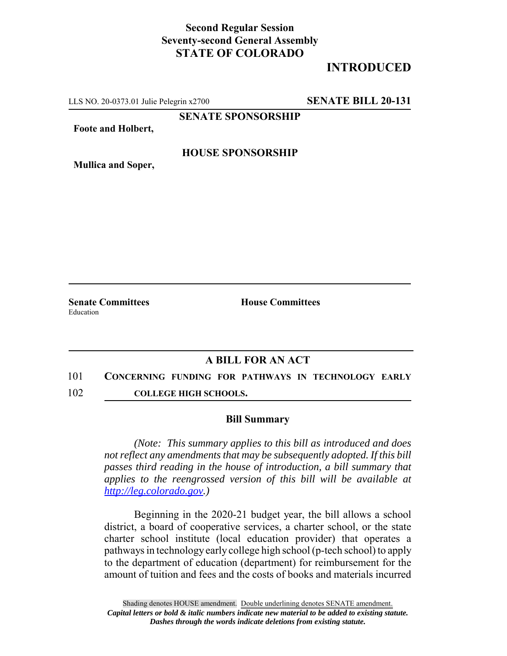## **Second Regular Session Seventy-second General Assembly STATE OF COLORADO**

# **INTRODUCED**

LLS NO. 20-0373.01 Julie Pelegrin x2700 **SENATE BILL 20-131**

**SENATE SPONSORSHIP**

**Foote and Holbert,**

#### **HOUSE SPONSORSHIP**

**Mullica and Soper,**

Education

**Senate Committees House Committees** 

### **A BILL FOR AN ACT**

- 101 **CONCERNING FUNDING FOR PATHWAYS IN TECHNOLOGY EARLY**
- 102 **COLLEGE HIGH SCHOOLS.**

#### **Bill Summary**

*(Note: This summary applies to this bill as introduced and does not reflect any amendments that may be subsequently adopted. If this bill passes third reading in the house of introduction, a bill summary that applies to the reengrossed version of this bill will be available at http://leg.colorado.gov.)*

Beginning in the 2020-21 budget year, the bill allows a school district, a board of cooperative services, a charter school, or the state charter school institute (local education provider) that operates a pathways in technology early college high school (p-tech school) to apply to the department of education (department) for reimbursement for the amount of tuition and fees and the costs of books and materials incurred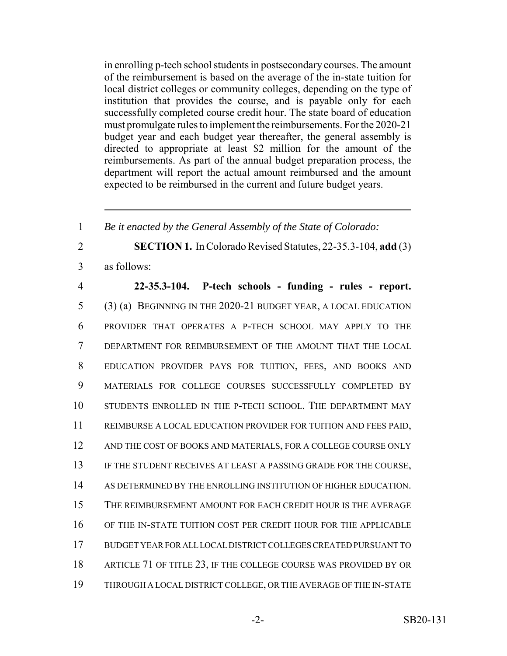in enrolling p-tech school students in postsecondary courses. The amount of the reimbursement is based on the average of the in-state tuition for local district colleges or community colleges, depending on the type of institution that provides the course, and is payable only for each successfully completed course credit hour. The state board of education must promulgate rules to implement the reimbursements. For the 2020-21 budget year and each budget year thereafter, the general assembly is directed to appropriate at least \$2 million for the amount of the reimbursements. As part of the annual budget preparation process, the department will report the actual amount reimbursed and the amount expected to be reimbursed in the current and future budget years.

1 *Be it enacted by the General Assembly of the State of Colorado:*

2 **SECTION 1.** In Colorado Revised Statutes, 22-35.3-104, **add** (3) 3 as follows:

 **22-35.3-104. P-tech schools - funding - rules - report.** (3) (a) BEGINNING IN THE 2020-21 BUDGET YEAR, A LOCAL EDUCATION PROVIDER THAT OPERATES A P-TECH SCHOOL MAY APPLY TO THE DEPARTMENT FOR REIMBURSEMENT OF THE AMOUNT THAT THE LOCAL EDUCATION PROVIDER PAYS FOR TUITION, FEES, AND BOOKS AND 9 MATERIALS FOR COLLEGE COURSES SUCCESSFULLY COMPLETED BY STUDENTS ENROLLED IN THE P-TECH SCHOOL. THE DEPARTMENT MAY REIMBURSE A LOCAL EDUCATION PROVIDER FOR TUITION AND FEES PAID, 12 AND THE COST OF BOOKS AND MATERIALS, FOR A COLLEGE COURSE ONLY 13 IF THE STUDENT RECEIVES AT LEAST A PASSING GRADE FOR THE COURSE, AS DETERMINED BY THE ENROLLING INSTITUTION OF HIGHER EDUCATION. THE REIMBURSEMENT AMOUNT FOR EACH CREDIT HOUR IS THE AVERAGE OF THE IN-STATE TUITION COST PER CREDIT HOUR FOR THE APPLICABLE BUDGET YEAR FOR ALL LOCAL DISTRICT COLLEGES CREATED PURSUANT TO 18 ARTICLE 71 OF TITLE 23, IF THE COLLEGE COURSE WAS PROVIDED BY OR THROUGH A LOCAL DISTRICT COLLEGE, OR THE AVERAGE OF THE IN-STATE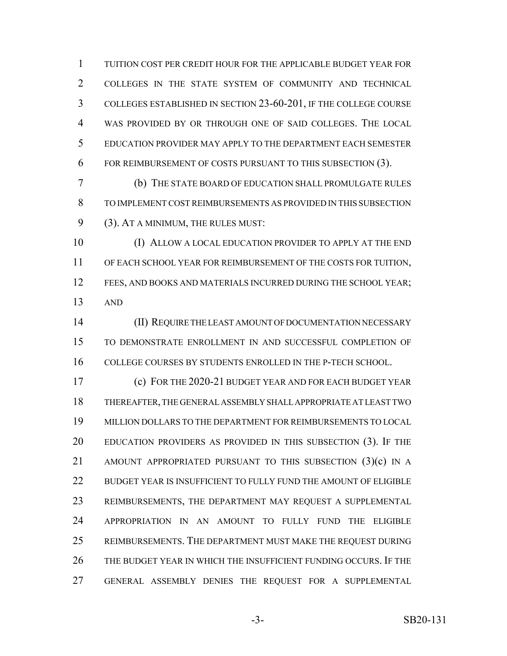TUITION COST PER CREDIT HOUR FOR THE APPLICABLE BUDGET YEAR FOR COLLEGES IN THE STATE SYSTEM OF COMMUNITY AND TECHNICAL COLLEGES ESTABLISHED IN SECTION 23-60-201, IF THE COLLEGE COURSE WAS PROVIDED BY OR THROUGH ONE OF SAID COLLEGES. THE LOCAL EDUCATION PROVIDER MAY APPLY TO THE DEPARTMENT EACH SEMESTER FOR REIMBURSEMENT OF COSTS PURSUANT TO THIS SUBSECTION (3).

 (b) THE STATE BOARD OF EDUCATION SHALL PROMULGATE RULES TO IMPLEMENT COST REIMBURSEMENTS AS PROVIDED IN THIS SUBSECTION (3). AT A MINIMUM, THE RULES MUST:

 (I) ALLOW A LOCAL EDUCATION PROVIDER TO APPLY AT THE END OF EACH SCHOOL YEAR FOR REIMBURSEMENT OF THE COSTS FOR TUITION, 12 FEES, AND BOOKS AND MATERIALS INCURRED DURING THE SCHOOL YEAR; AND

 (II) REQUIRE THE LEAST AMOUNT OF DOCUMENTATION NECESSARY TO DEMONSTRATE ENROLLMENT IN AND SUCCESSFUL COMPLETION OF COLLEGE COURSES BY STUDENTS ENROLLED IN THE P-TECH SCHOOL.

 (c) FOR THE 2020-21 BUDGET YEAR AND FOR EACH BUDGET YEAR THEREAFTER, THE GENERAL ASSEMBLY SHALL APPROPRIATE AT LEAST TWO MILLION DOLLARS TO THE DEPARTMENT FOR REIMBURSEMENTS TO LOCAL EDUCATION PROVIDERS AS PROVIDED IN THIS SUBSECTION (3). IF THE 21 AMOUNT APPROPRIATED PURSUANT TO THIS SUBSECTION (3)(c) IN A 22 BUDGET YEAR IS INSUFFICIENT TO FULLY FUND THE AMOUNT OF ELIGIBLE REIMBURSEMENTS, THE DEPARTMENT MAY REQUEST A SUPPLEMENTAL APPROPRIATION IN AN AMOUNT TO FULLY FUND THE ELIGIBLE REIMBURSEMENTS. THE DEPARTMENT MUST MAKE THE REQUEST DURING THE BUDGET YEAR IN WHICH THE INSUFFICIENT FUNDING OCCURS. IF THE GENERAL ASSEMBLY DENIES THE REQUEST FOR A SUPPLEMENTAL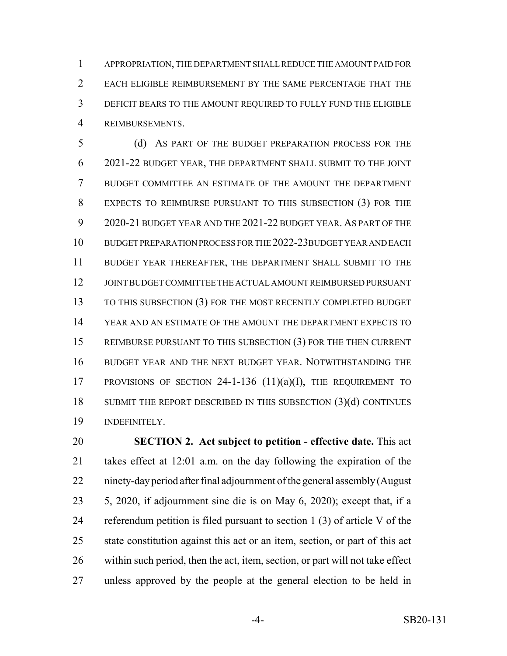APPROPRIATION, THE DEPARTMENT SHALL REDUCE THE AMOUNT PAID FOR EACH ELIGIBLE REIMBURSEMENT BY THE SAME PERCENTAGE THAT THE DEFICIT BEARS TO THE AMOUNT REQUIRED TO FULLY FUND THE ELIGIBLE REIMBURSEMENTS.

 (d) AS PART OF THE BUDGET PREPARATION PROCESS FOR THE 2021-22 BUDGET YEAR, THE DEPARTMENT SHALL SUBMIT TO THE JOINT BUDGET COMMITTEE AN ESTIMATE OF THE AMOUNT THE DEPARTMENT EXPECTS TO REIMBURSE PURSUANT TO THIS SUBSECTION (3) FOR THE 2020-21 BUDGET YEAR AND THE 2021-22 BUDGET YEAR. AS PART OF THE BUDGET PREPARATION PROCESS FOR THE 2022-23BUDGET YEAR AND EACH BUDGET YEAR THEREAFTER, THE DEPARTMENT SHALL SUBMIT TO THE JOINT BUDGET COMMITTEE THE ACTUAL AMOUNT REIMBURSED PURSUANT TO THIS SUBSECTION (3) FOR THE MOST RECENTLY COMPLETED BUDGET YEAR AND AN ESTIMATE OF THE AMOUNT THE DEPARTMENT EXPECTS TO REIMBURSE PURSUANT TO THIS SUBSECTION (3) FOR THE THEN CURRENT BUDGET YEAR AND THE NEXT BUDGET YEAR. NOTWITHSTANDING THE PROVISIONS OF SECTION 24-1-136 (11)(a)(I), THE REQUIREMENT TO 18 SUBMIT THE REPORT DESCRIBED IN THIS SUBSECTION (3)(d) CONTINUES INDEFINITELY.

 **SECTION 2. Act subject to petition - effective date.** This act takes effect at 12:01 a.m. on the day following the expiration of the ninety-day period after final adjournment of the general assembly (August 5, 2020, if adjournment sine die is on May 6, 2020); except that, if a referendum petition is filed pursuant to section 1 (3) of article V of the state constitution against this act or an item, section, or part of this act within such period, then the act, item, section, or part will not take effect unless approved by the people at the general election to be held in